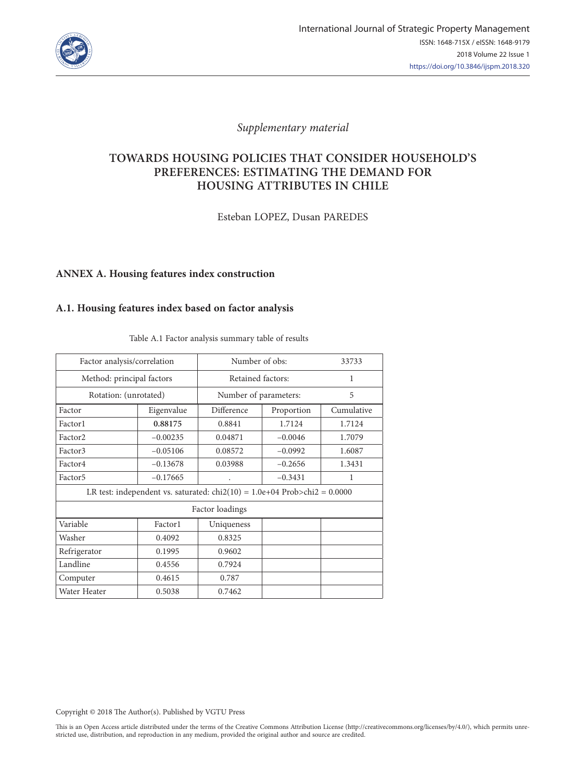

## *Supplementary material*

# **TOWARDS HOUSING POLICIES THAT CONSIDER HOUSEHOLD'S PREFERENCES: ESTIMATING THE DEMAND FOR HOUSING ATTRIBUTES IN CHILE**

Esteban LOPEZ, Dusan PAREDES

### **ANNEX A. Housing features index construction**

### **A.1. Housing features index based on factor analysis**

| Factor analysis/correlation                                                |            | Number of obs:           | 33733     |            |  |  |  |  |
|----------------------------------------------------------------------------|------------|--------------------------|-----------|------------|--|--|--|--|
| Method: principal factors                                                  |            | Retained factors:        | 1         |            |  |  |  |  |
| Rotation: (unrotated)                                                      |            | Number of parameters:    | 5         |            |  |  |  |  |
| Factor                                                                     | Eigenvalue | Difference<br>Proportion |           | Cumulative |  |  |  |  |
| Factor1                                                                    | 0.88175    | 0.8841                   | 1.7124    | 1.7124     |  |  |  |  |
| Factor <sub>2</sub>                                                        | $-0.00235$ | 0.04871                  | $-0.0046$ | 1.7079     |  |  |  |  |
| Factor3                                                                    | $-0.05106$ | 0.08572                  | $-0.0992$ | 1.6087     |  |  |  |  |
| Factor4                                                                    | $-0.13678$ | 0.03988                  | $-0.2656$ | 1.3431     |  |  |  |  |
| Factor <sub>5</sub>                                                        | $-0.17665$ |                          | $-0.3431$ | 1          |  |  |  |  |
| LR test: independent vs. saturated: $chi(10) = 1.0e+04$ Prob>chi2 = 0.0000 |            |                          |           |            |  |  |  |  |
| Factor loadings                                                            |            |                          |           |            |  |  |  |  |
| Variable                                                                   | Factor1    | Uniqueness               |           |            |  |  |  |  |
| Washer                                                                     | 0.4092     | 0.8325                   |           |            |  |  |  |  |
| Refrigerator                                                               | 0.1995     | 0.9602                   |           |            |  |  |  |  |
| Landline                                                                   | 0.4556     | 0.7924                   |           |            |  |  |  |  |
| Computer                                                                   | 0.4615     | 0.787                    |           |            |  |  |  |  |
| Water Heater                                                               | 0.5038     | 0.7462                   |           |            |  |  |  |  |

Table A.1 Factor analysis summary table of results

Copyright © 2018 The Author(s). Published by VGTU Press

This is an Open Access article distributed under the terms of the Creative Commons Attribution License (http://creativecommons.org/licenses/by/4.0/), which permits unrestricted use, distribution, and reproduction in any medium, provided the original author and source are credited.